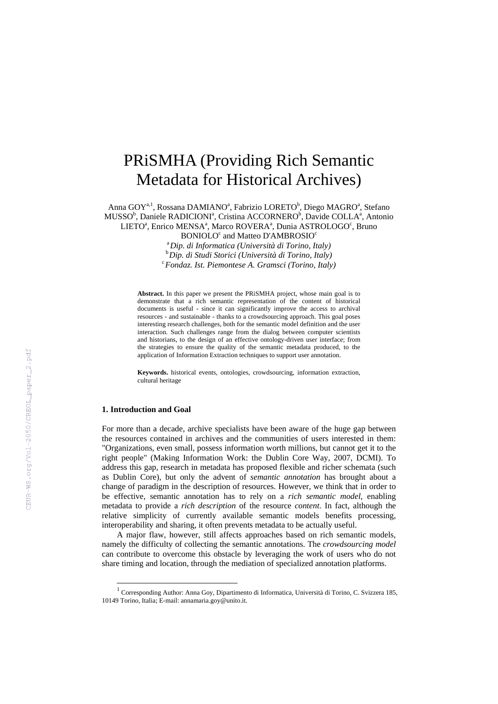# PRiSMHA (Providing Rich Semantic Metadata for Historical Archives)

Anna GOY<sup>a, 1</sup>, Rossana DAMIANO<sup>a</sup>, Fabrizio LORETO<sup>b</sup>, Diego MAGRO<sup>a</sup>, Stefano MUSSO<sup>b</sup>, Daniele RADICIONI<sup>a</sup>, Cristina ACCORNERO<sup>b</sup>, Davide COLLA<sup>a</sup>, Antonio LIETO<sup>a</sup>, Enrico MENSA<sup>a</sup>, Marco ROVERA<sup>a</sup>, Dunia ASTROLOGO<sup>c</sup>, Bruno

BONIOLO<sup>c</sup> and Matteo D'AMBROSIO<sup>c</sup>

a *Dip. di Informatica (Università di Torino, Italy)*  b *Dip. di Studi Storici (Università di Torino, Italy)* <sup>c</sup> *Fondaz. Ist. Piemontese A. Gramsci (Torino, Italy)* 

**Abstract.** In this paper we present the PRiSMHA project, whose main goal is to demonstrate that a rich semantic representation of the content of historical documents is useful - since it can significantly improve the access to archival resources - and sustainable - thanks to a crowdsourcing approach. This goal poses interesting research challenges, both for the semantic model definition and the user interaction. Such challenges range from the dialog between computer scientists and historians, to the design of an effective ontology-driven user interface; from the strategies to ensure the quality of the semantic metadata produced, to the application of Information Extraction techniques to support user annotation.

**Keywords.** historical events, ontologies, crowdsourcing, information extraction, cultural heritage

#### **1. Introduction and Goal**

-

For more than a decade, archive specialists have been aware of the huge gap between the resources contained in archives and the communities of users interested in them: "Organizations, even small, possess information worth millions, but cannot get it to the right people" (Making Information Work: the Dublin Core Way, 2007, DCMI). To address this gap, research in metadata has proposed flexible and richer schemata (such as Dublin Core), but only the advent of *semantic annotation* has brought about a change of paradigm in the description of resources. However, we think that in order to be effective, semantic annotation has to rely on a *rich semantic model*, enabling metadata to provide a *rich description* of the resource *content*. In fact, although the relative simplicity of currently available semantic models benefits processing, interoperability and sharing, it often prevents metadata to be actually useful.

A major flaw, however, still affects approaches based on rich semantic models, namely the difficulty of collecting the semantic annotations. The *crowdsourcing model* can contribute to overcome this obstacle by leveraging the work of users who do not share timing and location, through the mediation of specialized annotation platforms.

<sup>&</sup>lt;sup>1</sup> Corresponding Author: Anna Goy, Dipartimento di Informatica, Università di Torino, C. Svizzera 185, 10149 Torino, Italia; E-mail: annamaria.goy@unito.it.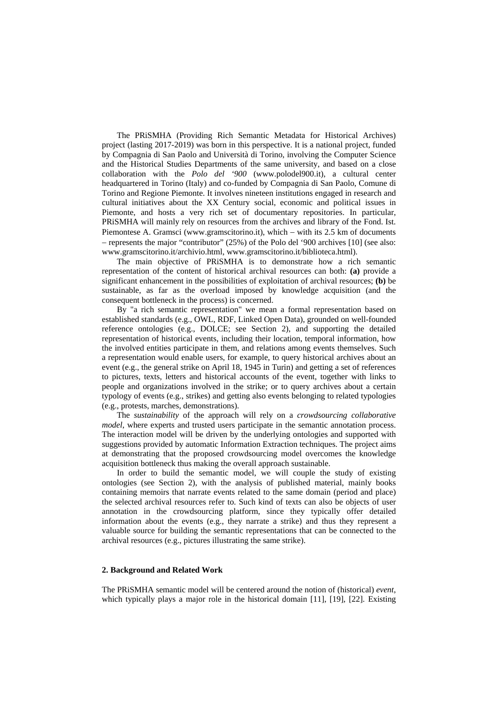The PRiSMHA (Providing Rich Semantic Metadata for Historical Archives) project (lasting 2017-2019) was born in this perspective. It is a national project, funded by Compagnia di San Paolo and Università di Torino, involving the Computer Science and the Historical Studies Departments of the same university, and based on a close collaboration with the *Polo del '900* (www.polodel900.it), a cultural center headquartered in Torino (Italy) and co-funded by Compagnia di San Paolo, Comune di Torino and Regione Piemonte. It involves nineteen institutions engaged in research and cultural initiatives about the XX Century social, economic and political issues in Piemonte, and hosts a very rich set of documentary repositories. In particular, PRiSMHA will mainly rely on resources from the archives and library of the Fond. Ist. Piemontese A. Gramsci (www.gramscitorino.it), which  $-$  with its 2.5 km of documents - represents the major "contributor" (25%) of the Polo del '900 archives [10] (see also: www.gramscitorino.it/archivio.html, www.gramscitorino.it/biblioteca.html).

The main objective of PRiSMHA is to demonstrate how a rich semantic representation of the content of historical archival resources can both: **(a)** provide a significant enhancement in the possibilities of exploitation of archival resources; **(b)** be sustainable, as far as the overload imposed by knowledge acquisition (and the consequent bottleneck in the process) is concerned.

By "a rich semantic representation" we mean a formal representation based on established standards (e.g., OWL, RDF, Linked Open Data), grounded on well-founded reference ontologies (e.g., DOLCE; see Section 2), and supporting the detailed representation of historical events, including their location, temporal information, how the involved entities participate in them, and relations among events themselves. Such a representation would enable users, for example, to query historical archives about an event (e.g., the general strike on April 18, 1945 in Turin) and getting a set of references to pictures, texts, letters and historical accounts of the event, together with links to people and organizations involved in the strike; or to query archives about a certain typology of events (e.g., strikes) and getting also events belonging to related typologies (e.g., protests, marches, demonstrations).

The *sustainability* of the approach will rely on a *crowdsourcing collaborative model*, where experts and trusted users participate in the semantic annotation process. The interaction model will be driven by the underlying ontologies and supported with suggestions provided by automatic Information Extraction techniques. The project aims at demonstrating that the proposed crowdsourcing model overcomes the knowledge acquisition bottleneck thus making the overall approach sustainable.

In order to build the semantic model, we will couple the study of existing ontologies (see Section 2), with the analysis of published material, mainly books containing memoirs that narrate events related to the same domain (period and place) the selected archival resources refer to. Such kind of texts can also be objects of user annotation in the crowdsourcing platform, since they typically offer detailed information about the events (e.g., they narrate a strike) and thus they represent a valuable source for building the semantic representations that can be connected to the archival resources (e.g., pictures illustrating the same strike).

#### **2. Background and Related Work**

The PRiSMHA semantic model will be centered around the notion of (historical) *event*, which typically plays a major role in the historical domain [11], [19], [22]. Existing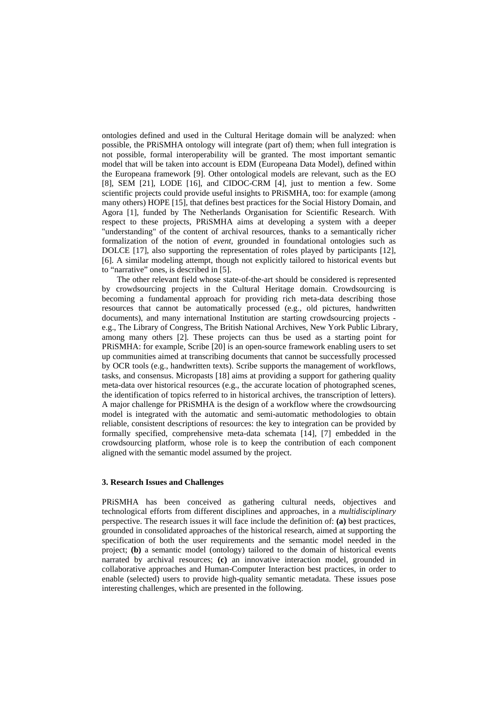ontologies defined and used in the Cultural Heritage domain will be analyzed: when possible, the PRiSMHA ontology will integrate (part of) them; when full integration is not possible, formal interoperability will be granted. The most important semantic model that will be taken into account is EDM (Europeana Data Model), defined within the Europeana framework [9]. Other ontological models are relevant, such as the EO [8], SEM [21], LODE [16], and CIDOC-CRM [4], just to mention a few. Some scientific projects could provide useful insights to PRiSMHA, too: for example (among many others) HOPE [15], that defines best practices for the Social History Domain, and Agora [1], funded by The Netherlands Organisation for Scientific Research. With respect to these projects, PRiSMHA aims at developing a system with a deeper "understanding" of the content of archival resources, thanks to a semantically richer formalization of the notion of *event*, grounded in foundational ontologies such as DOLCE [17], also supporting the representation of roles played by participants [12], [6]. A similar modeling attempt, though not explicitly tailored to historical events but to "narrative" ones, is described in [5].

The other relevant field whose state-of-the-art should be considered is represented by crowdsourcing projects in the Cultural Heritage domain. Crowdsourcing is becoming a fundamental approach for providing rich meta-data describing those resources that cannot be automatically processed (e.g., old pictures, handwritten documents), and many international Institution are starting crowdsourcing projects e.g., The Library of Congress, The British National Archives, New York Public Library, among many others [2]. These projects can thus be used as a starting point for PRiSMHA: for example, Scribe [20] is an open-source framework enabling users to set up communities aimed at transcribing documents that cannot be successfully processed by OCR tools (e.g., handwritten texts). Scribe supports the management of workflows, tasks, and consensus. Micropasts [18] aims at providing a support for gathering quality meta-data over historical resources (e.g., the accurate location of photographed scenes, the identification of topics referred to in historical archives, the transcription of letters). A major challenge for PRiSMHA is the design of a workflow where the crowdsourcing model is integrated with the automatic and semi-automatic methodologies to obtain reliable, consistent descriptions of resources: the key to integration can be provided by formally specified, comprehensive meta-data schemata [14], [7] embedded in the crowdsourcing platform, whose role is to keep the contribution of each component aligned with the semantic model assumed by the project.

## **3. Research Issues and Challenges**

PRiSMHA has been conceived as gathering cultural needs, objectives and technological efforts from different disciplines and approaches, in a *multidisciplinary* perspective. The research issues it will face include the definition of: **(a)** best practices, grounded in consolidated approaches of the historical research, aimed at supporting the specification of both the user requirements and the semantic model needed in the project; **(b)** a semantic model (ontology) tailored to the domain of historical events narrated by archival resources; **(c)** an innovative interaction model, grounded in collaborative approaches and Human-Computer Interaction best practices, in order to enable (selected) users to provide high-quality semantic metadata. These issues pose interesting challenges, which are presented in the following.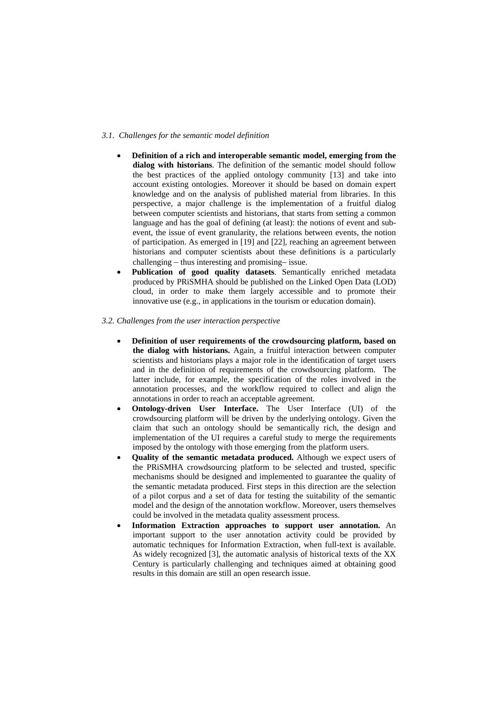## *3.1. Challenges for the semantic model definition*

- **Definition of a rich and interoperable semantic model, emerging from the dialog with historians**. The definition of the semantic model should follow the best practices of the applied ontology community [13] and take into account existing ontologies. Moreover it should be based on domain expert knowledge and on the analysis of published material from libraries. In this perspective, a major challenge is the implementation of a fruitful dialog between computer scientists and historians, that starts from setting a common language and has the goal of defining (at least): the notions of event and subevent, the issue of event granularity, the relations between events, the notion of participation. As emerged in [19] and [22], reaching an agreement between historians and computer scientists about these definitions is a particularly challenging  $-$  thus interesting and promising  $-$  issue.
- **Publication of good quality datasets**. Semantically enriched metadata produced by PRiSMHA should be published on the Linked Open Data (LOD) cloud, in order to make them largely accessible and to promote their innovative use (e.g., in applications in the tourism or education domain).

## *3.2. Challenges from the user interaction perspective*

- **Definition of user requirements of the crowdsourcing platform, based on the dialog with historians.** Again, a fruitful interaction between computer scientists and historians plays a major role in the identification of target users and in the definition of requirements of the crowdsourcing platform. The latter include, for example, the specification of the roles involved in the annotation processes, and the workflow required to collect and align the annotations in order to reach an acceptable agreement.
- **Ontology-driven User Interface.** The User Interface (UI) of the crowdsourcing platform will be driven by the underlying ontology. Given the claim that such an ontology should be semantically rich, the design and implementation of the UI requires a careful study to merge the requirements imposed by the ontology with those emerging from the platform users.
- **Quality of the semantic metadata produced.** Although we expect users of the PRiSMHA crowdsourcing platform to be selected and trusted, specific mechanisms should be designed and implemented to guarantee the quality of the semantic metadata produced. First steps in this direction are the selection of a pilot corpus and a set of data for testing the suitability of the semantic model and the design of the annotation workflow. Moreover, users themselves could be involved in the metadata quality assessment process.
- **Information Extraction approaches to support user annotation.** An important support to the user annotation activity could be provided by automatic techniques for Information Extraction, when full-text is available. As widely recognized [3], the automatic analysis of historical texts of the XX Century is particularly challenging and techniques aimed at obtaining good results in this domain are still an open research issue.